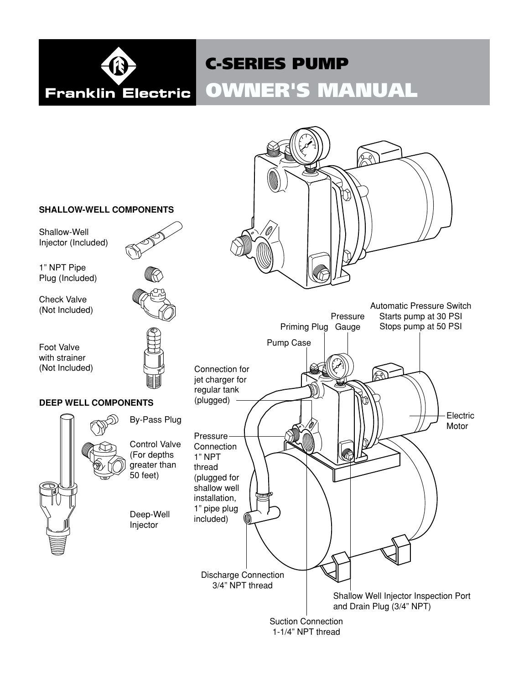

# C-SERIES PUMP

# OWNER'S MANUAL

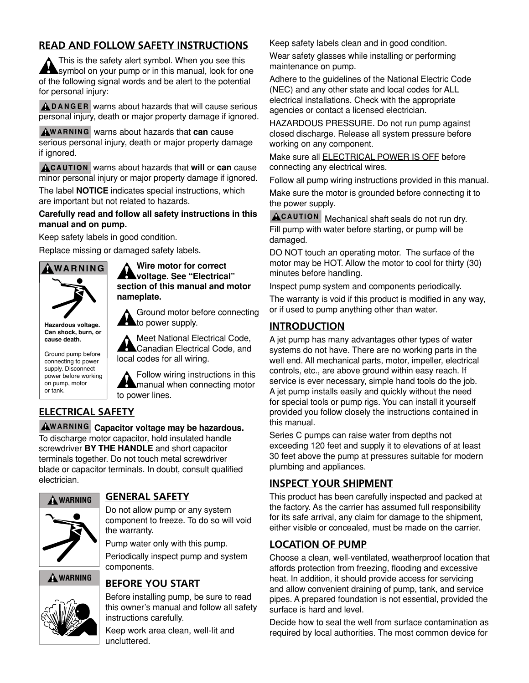## **READ AND FOLLOW SAFETY INSTRUCTIONS**

This is the safety alert symbol. When you see this symbol on your pump or in this manual, look for one of the following signal words and be alert to the potential for personal injury:

**A D A N G E R** warns about hazards that will cause serious personal injury, death or major property damage if ignored.

**W A R NI N G** warns about hazards that **can** cause serious personal injury, death or major property damage if ignored.

**A CAUTION** warns about hazards that will or **can** cause minor personal injury or major property damage if ignored.

The label **NOTICE** indicates special instructions, which are important but not related to hazards.

**Carefully read and follow all safety instructions in this manual and on pump.**

Keep safety labels in good condition.

Replace missing or damaged safety labels.



**Hazardous voltage. Can shock, burn, or cause death.**

Ground pump before connecting to power supply. Disconnect power before working on pump, motor or tank.

**Wire motor for correct voltage. See "Electrical" section of this manual and motor nameplate.**

Ground motor before connecting to power supply.

Meet National Electrical Code, Canadian Electrical Code, and local codes for all wiring.

Follow wiring instructions in this manual when connecting motor to power lines.

# **ELECTRICAL SAFETY**

**W A R NI N G Capacitor voltage may be hazardous.**  To discharge motor capacitor, hold insulated handle screwdriver **BY THE HANDLE** and short capacitor terminals together. Do not touch metal screwdriver blade or capacitor terminals. In doubt, consult qualified electrician.



## **GENERAL SAFETY**

Do not allow pump or any system component to freeze. To do so will void the warranty.

Pump water only with this pump.

Periodically inspect pump and system components.

## **WARNING**



# **BEFORE YOU START**

Before installing pump, be sure to read this owner's manual and follow all safety instructions carefully.

Keep work area clean, well-lit and uncluttered.

Keep safety labels clean and in good condition.

Wear safety glasses while installing or performing maintenance on pump.

Adhere to the guidelines of the National Electric Code (NEC) and any other state and local codes for ALL electrical installations. Check with the appropriate agencies or contact a licensed electrician.

HAZARDOUS PRESSURE. Do not run pump against closed discharge. Release all system pressure before working on any component.

Make sure all ELECTRICAL POWER IS OFF before connecting any electrical wires.

Follow all pump wiring instructions provided in this manual.

Make sure the motor is grounded before connecting it to the power supply.

**CAUTION** Mechanical shaft seals do not run dry. Fill pump with water before starting, or pump will be damaged.

DO NOT touch an operating motor. The surface of the motor may be HOT. Allow the motor to cool for thirty (30) minutes before handling.

Inspect pump system and components periodically.

The warranty is void if this product is modified in any way, or if used to pump anything other than water.

## **INTRODUCTION**

A jet pump has many advantages other types of water systems do not have. There are no working parts in the well end. All mechanical parts, motor, impeller, electrical controls, etc., are above ground within easy reach. If service is ever necessary, simple hand tools do the job. A jet pump installs easily and quickly without the need for special tools or pump rigs. You can install it yourself provided you follow closely the instructions contained in this manual.

Series C pumps can raise water from depths not exceeding 120 feet and supply it to elevations of at least 30 feet above the pump at pressures suitable for modern plumbing and appliances.

# **INSPECT YOUR SHIPMENT**

This product has been carefully inspected and packed at the factory. As the carrier has assumed full responsibility for its safe arrival, any claim for damage to the shipment, either visible or concealed, must be made on the carrier.

## **LOCATION OF PUMP**

Choose a clean, well-ventilated, weatherproof location that affords protection from freezing, flooding and excessive heat. In addition, it should provide access for servicing and allow convenient draining of pump, tank, and service pipes. A prepared foundation is not essential, provided the surface is hard and level.

Decide how to seal the well from surface contamination as required by local authorities. The most common device for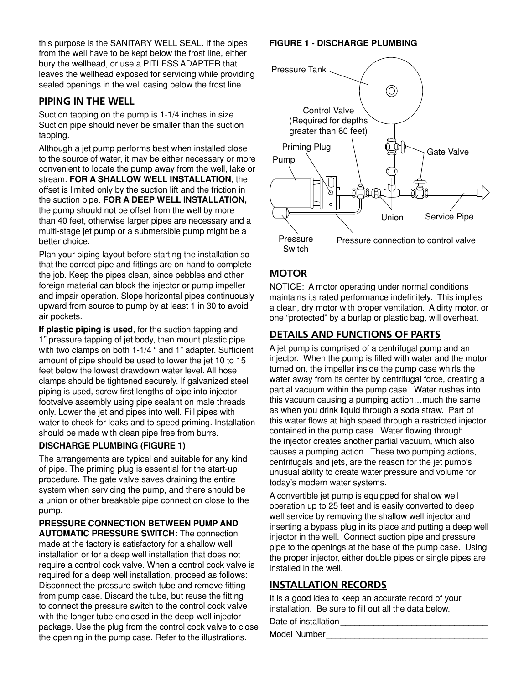this purpose is the SANITARY WELL SEAL. If the pipes from the well have to be kept below the frost line, either bury the wellhead, or use a PITLESS ADAPTER that leaves the wellhead exposed for servicing while providing sealed openings in the well casing below the frost line.

## **PIPING IN THE WELL**

Suction tapping on the pump is 1-1/4 inches in size. Suction pipe should never be smaller than the suction tapping.

Although a jet pump performs best when installed close to the source of water, it may be either necessary or more convenient to locate the pump away from the well, lake or stream. **FOR A SHALLOW WELL INSTALLATION**, the offset is limited only by the suction lift and the friction in the suction pipe. **FOR A DEEP WELL INSTALLATION,** the pump should not be offset from the well by more than 40 feet, otherwise larger pipes are necessary and a multi-stage jet pump or a submersible pump might be a better choice.

Plan your piping layout before starting the installation so that the correct pipe and fittings are on hand to complete the job. Keep the pipes clean, since pebbles and other foreign material can block the injector or pump impeller and impair operation. Slope horizontal pipes continuously upward from source to pump by at least 1 in 30 to avoid air pockets.

**If plastic piping is used**, for the suction tapping and 1" pressure tapping of jet body, then mount plastic pipe with two clamps on both 1-1/4 " and 1" adapter. Sufficient amount of pipe should be used to lower the jet 10 to 15 feet below the lowest drawdown water level. All hose clamps should be tightened securely. If galvanized steel piping is used, screw first lengths of pipe into injector footvalve assembly using pipe sealant on male threads only. Lower the jet and pipes into well. Fill pipes with water to check for leaks and to speed priming. Installation should be made with clean pipe free from burrs.

#### **DISCHARGE PLUMBING (Figure 1)**

The arrangements are typical and suitable for any kind of pipe. The priming plug is essential for the start-up procedure. The gate valve saves draining the entire system when servicing the pump, and there should be a union or other breakable pipe connection close to the pump.

# **PRESSURE CONNECTION BETWEEN PUMP AND**

**AUTOMATIC PRESSURE SWITCH:** The connection made at the factory is satisfactory for a shallow well installation or for a deep well installation that does not require a control cock valve. When a control cock valve is required for a deep well installation, proceed as follows: Disconnect the pressure switch tube and remove fitting from pump case. Discard the tube, but reuse the fitting to connect the pressure switch to the control cock valve with the longer tube enclosed in the deep-well injector package. Use the plug from the control cock valve to close the opening in the pump case. Refer to the illustrations.

### **FIGURE 1 - DISCHARGE PLUMBING**



## **MOTOR**

NOTICE: A motor operating under normal conditions maintains its rated performance indefinitely. This implies a clean, dry motor with proper ventilation. A dirty motor, or one "protected" by a burlap or plastic bag, will overheat.

## **DETAILS AND FUNCTIONS OF PARTS**

A jet pump is comprised of a centrifugal pump and an injector. When the pump is filled with water and the motor turned on, the impeller inside the pump case whirls the water away from its center by centrifugal force, creating a partial vacuum within the pump case. Water rushes into this vacuum causing a pumping action…much the same as when you drink liquid through a soda straw. Part of this water flows at high speed through a restricted injector contained in the pump case. Water flowing through the injector creates another partial vacuum, which also causes a pumping action. These two pumping actions, centrifugals and jets, are the reason for the jet pump's unusual ability to create water pressure and volume for today's modern water systems.

A convertible jet pump is equipped for shallow well operation up to 25 feet and is easily converted to deep well service by removing the shallow well injector and inserting a bypass plug in its place and putting a deep well injector in the well. Connect suction pipe and pressure pipe to the openings at the base of the pump case. Using the proper injector, either double pipes or single pipes are installed in the well.

## **INSTALLATION RECORDS**

It is a good idea to keep an accurate record of your installation. Be sure to fill out all the data below.

Date of installation \_\_\_\_\_\_\_\_\_\_\_\_\_\_\_\_\_\_\_\_\_\_\_\_\_\_\_\_\_\_\_

Model Number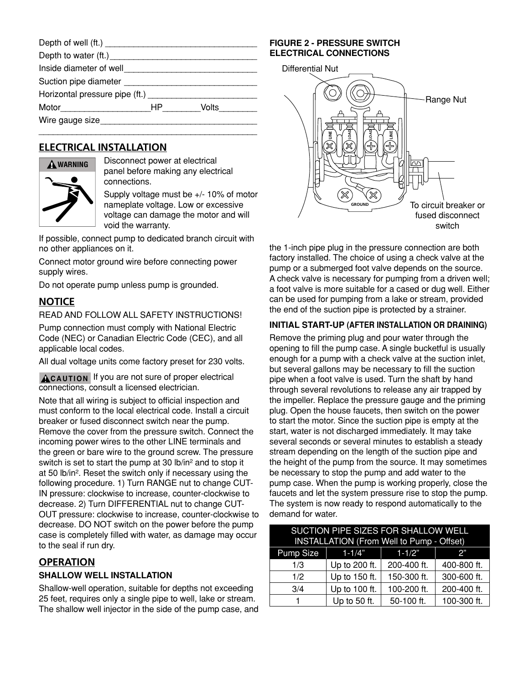| Inside diameter of well        |    |                |
|--------------------------------|----|----------------|
|                                |    |                |
| Horizontal pressure pipe (ft.) |    |                |
|                                | HP | Volts $\qquad$ |
| Wire gauge size <b>State</b>   |    |                |
|                                |    |                |

## **ELECTRICAL INSTALLATION**



Disconnect power at electrical panel before making any electrical connections.

Supply voltage must be +/- 10% of motor nameplate voltage. Low or excessive voltage can damage the motor and will void the warranty.

If possible, connect pump to dedicated branch circuit with no other appliances on it.

Connect motor ground wire before connecting power supply wires.

Do not operate pump unless pump is grounded.

## **NOTICE**

## READ AND FOLLOW ALL SAFETY INSTRUCTIONS!

Pump connection must comply with National Electric Code (NEC) or Canadian Electric Code (CEC), and all applicable local codes.

All dual voltage units come factory preset for 230 volts.

**A CAUTION** If you are not sure of proper electrical connections, consult a licensed electrician.

Note that all wiring is subject to official inspection and must conform to the local electrical code. Install a circuit breaker or fused disconnect switch near the pump. Remove the cover from the pressure switch. Connect the incoming power wires to the other LINE terminals and the green or bare wire to the ground screw. The pressure switch is set to start the pump at 30 lb/in<sup>2</sup> and to stop it at 50 lb/in². Reset the switch only if necessary using the following procedure. 1) Turn RANGE nut to change CUT-IN pressure: clockwise to increase, counter-clockwise to decrease. 2) Turn DIFFERENTIAL nut to change CUT-OUT pressure: clockwise to increase, counter-clockwise to decrease. DO NOT switch on the power before the pump case is completely filled with water, as damage may occur to the seal if run dry.

## **OPERATION**

## **SHALLOW WELL INSTALLATION**

Shallow-well operation, suitable for depths not exceeding 25 feet, requires only a single pipe to well, lake or stream. The shallow well injector in the side of the pump case, and

### **FIGURE 2 - PRESSURE SWITCH ELECTRICAL CONNECTIONS**



the 1-inch pipe plug in the pressure connection are both factory installed. The choice of using a check valve at the pump or a submerged foot valve depends on the source. A check valve is necessary for pumping from a driven well; a foot valve is more suitable for a cased or dug well. Either can be used for pumping from a lake or stream, provided the end of the suction pipe is protected by a strainer.

## **INITIAL START-UP (AFTER INSTALLATION OR DRAINING)**

Remove the priming plug and pour water through the opening to fill the pump case. A single bucketful is usually enough for a pump with a check valve at the suction inlet, but several gallons may be necessary to fill the suction pipe when a foot valve is used. Turn the shaft by hand through several revolutions to release any air trapped by the impeller. Replace the pressure gauge and the priming plug. Open the house faucets, then switch on the power to start the motor. Since the suction pipe is empty at the start, water is not discharged immediately. It may take several seconds or several minutes to establish a steady stream depending on the length of the suction pipe and the height of the pump from the source. It may sometimes be necessary to stop the pump and add water to the pump case. When the pump is working properly, close the faucets and let the system pressure rise to stop the pump. The system is now ready to respond automatically to the demand for water.

| SUCTION PIPE SIZES FOR SHALLOW WELL<br>INSTALLATION (From Well to Pump - Offset) |               |             |             |
|----------------------------------------------------------------------------------|---------------|-------------|-------------|
|                                                                                  |               |             |             |
| <b>Pump Size</b>                                                                 | $1 - 1/4"$    | $1 - 1/2"$  | 2"          |
| 1/3                                                                              | Up to 200 ft. | 200-400 ft. | 400-800 ft. |
| 1/2                                                                              | Up to 150 ft. | 150-300 ft. | 300-600 ft. |
| 3/4                                                                              | Up to 100 ft. | 100-200 ft. | 200-400 ft. |
|                                                                                  | Up to 50 ft.  | 50-100 ft.  | 100-300 ft. |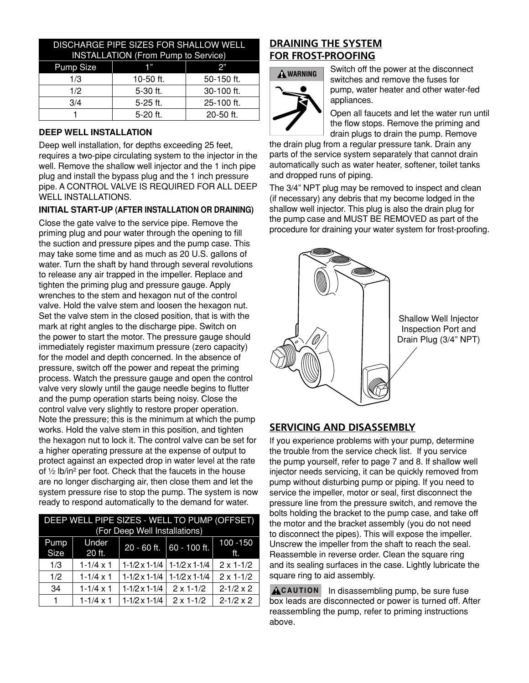| DISCHARGE PIPE SIZES FOR SHALLOW WELL<br><b>INSTALLATION (From Pump to Service)</b> |           |            |
|-------------------------------------------------------------------------------------|-----------|------------|
| Pump Size                                                                           | 1"        | 2"         |
| 1/3                                                                                 | 10-50 ft. | 50-150 ft. |
| 1/2                                                                                 | 5-30 ft.  | 30-100 ft. |
| 3/4                                                                                 | 5-25 ft.  | 25-100 ft. |
|                                                                                     | 5-20 ft.  | 20-50 ft.  |

#### **DEEP WELL INSTALLATION**

Deep well installation, for depths exceeding 25 feet, requires a two-pipe circulating system to the injector in the well. Remove the shallow well injector and the 1 inch pipe plug and install the bypass plug and the 1 inch pressure pipe. A CONTROL vALvE IS REQUIRED FOR ALL DEEP WELL INSTALLATIONS.

#### **INITIAL START-UP (AFTER INSTALLATION OR DRAINING)**

Close the gate valve to the service pipe. Remove the priming plug and pour water through the opening to fill the suction and pressure pipes and the pump case. This may take some time and as much as 20 U.S. gallons of water. Turn the shaft by hand through several revolutions to release any air trapped in the impeller. Replace and tighten the priming plug and pressure gauge. Apply wrenches to the stem and hexagon nut of the control valve. Hold the valve stem and loosen the hexagon nut. Set the valve stem in the closed position, that is with the mark at right angles to the discharge pipe. Switch on the power to start the motor. The pressure gauge should immediately register maximum pressure (zero capacity) for the model and depth concerned. In the absence of pressure, switch off the power and repeat the priming process. Watch the pressure gauge and open the control valve very slowly until the gauge needle begins to flutter and the pump operation starts being noisy. Close the control valve very slightly to restore proper operation. Note the pressure; this is the minimum at which the pump works. Hold the valve stem in this position, and tighten the hexagon nut to lock it. The control valve can be set for a higher operating pressure at the expense of output to protect against an expected drop in water level at the rate of ½ lb/in² per foot. Check that the faucets in the house are no longer discharging air, then close them and let the system pressure rise to stop the pump. The system is now ready to respond automatically to the demand for water.

|              | DEEP WELL PIPE SIZES - WELL TO PUMP (OFFSET) |                               |                                    |                    |
|--------------|----------------------------------------------|-------------------------------|------------------------------------|--------------------|
|              |                                              | (For Deep Well Installations) |                                    |                    |
| Pump<br>Size | Under<br>20 ft.                              | 20 - 60 ft.                   | $60 - 100$ ft.                     | 100 - 150<br>ft.   |
| 1/3          | $1 - 1/4 \times 1$                           |                               | $1-1/2 \times 1-1/4$ 1-1/2 x 1-1/4 | $2 \times 1 - 1/2$ |
| 1/2          | $1 - 1/4 \times 1$                           | $1-1/2 \times 1-1/4$          | $1-1/2 \times 1-1/4$               | $2 \times 1 - 1/2$ |
| 34           | $1 - 1/4 \times 1$                           | $1-1/2 \times 1-1/4$          | $2 \times 1 - 1/2$                 | $2 - 1/2 \times 2$ |
| 1.           | $1 - 1/4 \times 1$                           | $1-1/2 \times 1-1/4$          | $2 \times 1 - 1/2$                 | $2 - 1/2 \times 2$ |

## **DRAINING THE SYSTEM FOR FROST-PROOFING**



Switch off the power at the disconnect switches and remove the fuses for pump, water heater and other water-fed appliances.

Open all faucets and let the water run until the flow stops. Remove the priming and drain plugs to drain the pump. Remove

the drain plug from a regular pressure tank. Drain any parts of the service system separately that cannot drain automatically such as water heater, softener, toilet tanks and dropped runs of piping.

The 3/4" NPT plug may be removed to inspect and clean (if necessary) any debris that my become lodged in the shallow well injector. This plug is also the drain plug for the pump case and MUST BE REMOvED as part of the procedure for draining your water system for frost-proofing.



## **SERVICING AND DISASSEMBLY**

If you experience problems with your pump, determine the trouble from the service check list. If you service the pump yourself, refer to page 7 and 8. If shallow well injector needs servicing, it can be quickly removed from pump without disturbing pump or piping. If you need to service the impeller, motor or seal, first disconnect the pressure line from the pressure switch, and remove the bolts holding the bracket to the pump case, and take off the motor and the bracket assembly (you do not need to disconnect the pipes). This will expose the impeller. Unscrew the impeller from the shaft to reach the seal. Reassemble in reverse order. Clean the square ring and its sealing surfaces in the case. Lightly lubricate the square ring to aid assembly.

**A CAUTION** In disassembling pump, be sure fuse box leads are disconnected or power is turned off. After reassembling the pump, refer to priming instructions above.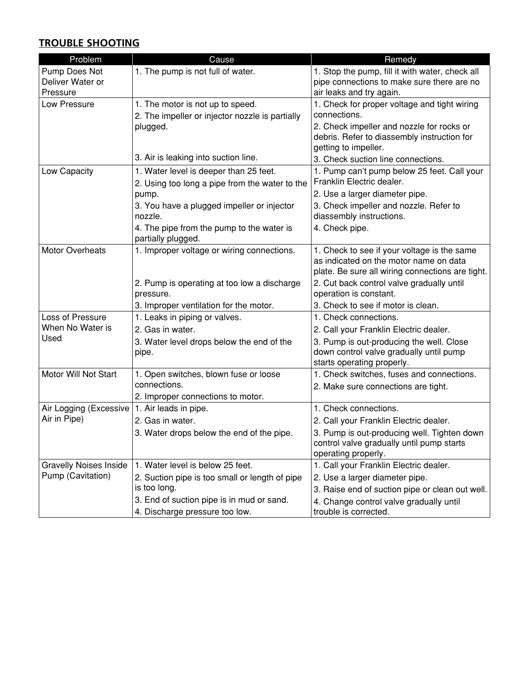## **TROUBLE SHOOTING**

| Problem                                | Cause                                                           | Remedy                                                                                        |
|----------------------------------------|-----------------------------------------------------------------|-----------------------------------------------------------------------------------------------|
| Pump Does Not<br>Deliver Water or      | 1. The pump is not full of water.                               | 1. Stop the pump, fill it with water, check all<br>pipe connections to make sure there are no |
| Pressure                               |                                                                 | air leaks and try again.                                                                      |
| Low Pressure                           | 1. The motor is not up to speed.                                | 1. Check for proper voltage and tight wiring                                                  |
|                                        | 2. The impeller or injector nozzle is partially                 | connections.                                                                                  |
|                                        | plugged.                                                        | 2. Check impeller and nozzle for rocks or                                                     |
|                                        |                                                                 | debris. Refer to diassembly instruction for                                                   |
|                                        | 3. Air is leaking into suction line.                            | getting to impeller.                                                                          |
|                                        |                                                                 | 3. Check suction line connections.                                                            |
| Low Capacity                           | 1. Water level is deeper than 25 feet.                          | 1. Pump can't pump below 25 feet. Call your<br>Franklin Electric dealer.                      |
|                                        | 2. Using too long a pipe from the water to the                  |                                                                                               |
|                                        | pump.                                                           | 2. Use a larger diameter pipe.                                                                |
|                                        | 3. You have a plugged impeller or injector                      | 3. Check impeller and nozzle. Refer to                                                        |
|                                        | nozzle.                                                         | diassembly instructions.                                                                      |
|                                        | 4. The pipe from the pump to the water is<br>partially plugged. | 4. Check pipe.                                                                                |
| <b>Motor Overheats</b>                 | 1. Improper voltage or wiring connections.                      | 1. Check to see if your voltage is the same                                                   |
|                                        |                                                                 | as indicated on the motor name on data                                                        |
|                                        |                                                                 | plate. Be sure all wiring connections are tight.                                              |
|                                        | 2. Pump is operating at too low a discharge                     | 2. Cut back control valve gradually until                                                     |
|                                        | pressure.                                                       | operation is constant.                                                                        |
|                                        | 3. Improper ventilation for the motor.                          | 3. Check to see if motor is clean.                                                            |
| Loss of Pressure                       | 1. Leaks in piping or valves.                                   | 1. Check connections.                                                                         |
| When No Water is                       | 2. Gas in water.                                                | 2. Call your Franklin Electric dealer.                                                        |
| Used                                   | 3. Water level drops below the end of the                       | 3. Pump is out-producing the well. Close                                                      |
|                                        | pipe.                                                           | down control valve gradually until pump                                                       |
|                                        |                                                                 | starts operating properly.                                                                    |
| Motor Will Not Start                   | 1. Open switches, blown fuse or loose                           | 1. Check switches, fuses and connections.                                                     |
|                                        | connections.                                                    | 2. Make sure connections are tight.                                                           |
|                                        | 2. Improper connections to motor.                               | 1. Check connections.                                                                         |
| Air Logging (Excessive<br>Air in Pipe) | 1. Air leads in pipe.                                           |                                                                                               |
|                                        | 2. Gas in water.                                                | 2. Call your Franklin Electric dealer.                                                        |
|                                        | 3. Water drops below the end of the pipe.                       | 3. Pump is out-producing well. Tighten down<br>control valve gradually until pump starts      |
|                                        |                                                                 | operating properly.                                                                           |
| <b>Gravelly Noises Inside</b>          | 1. Water level is below 25 feet.                                | 1. Call your Franklin Electric dealer.                                                        |
| Pump (Cavitation)                      | 2. Suction pipe is too small or length of pipe                  | 2. Use a larger diameter pipe.                                                                |
|                                        | is too long.                                                    | 3. Raise end of suction pipe or clean out well.                                               |
|                                        | 3. End of suction pipe is in mud or sand.                       | 4. Change control valve gradually until                                                       |
|                                        | 4. Discharge pressure too low.                                  | trouble is corrected.                                                                         |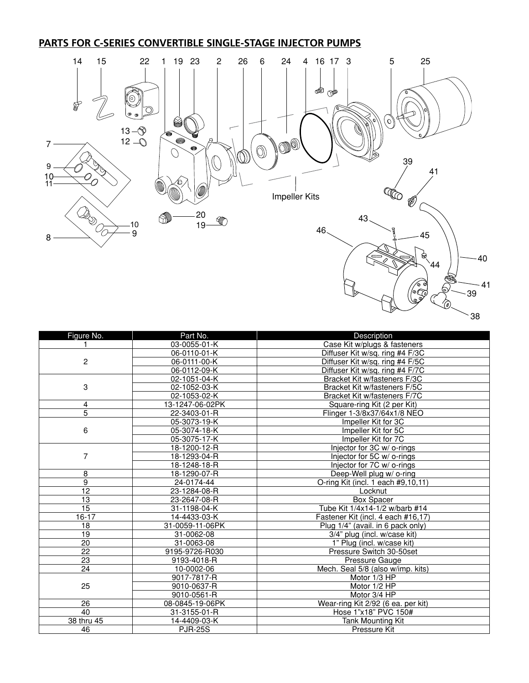## **PARTS FOR C-SERIES CONVERTIBLE SINGLE-STAGE INJECTOR PUMPS**



| <u>(@)</u> |     |
|------------|-----|
|            | 38. |

| Figure No.      | Part No.        | Description                        |
|-----------------|-----------------|------------------------------------|
|                 | 03-0055-01-K    | Case Kit w/plugs & fasteners       |
|                 | 06-0110-01-K    | Diffuser Kit w/sq. ring #4 F/3C    |
| $\overline{2}$  | 06-0111-00-K    | Diffuser Kit w/sq. ring #4 F/5C    |
|                 | 06-0112-09-K    | Diffuser Kit w/sq. ring #4 F/7C    |
|                 | 02-1051-04-K    | Bracket Kit w/fasteners F/3C       |
| 3               | 02-1052-03-K    | Bracket Kit w/fasteners F/5C       |
|                 | 02-1053-02-K    | Bracket Kit w/fasteners F/7C       |
| 4               | 13-1247-06-02PK | Square-ring Kit (2 per Kit)        |
| 5               | 22-3403-01-R    | Flinger 1-3/8x37/64x1/8 NEO        |
|                 | 05-3073-19-K    | Impeller Kit for 3C                |
| 6               | 05-3074-18-K    | Impeller Kit for 5C                |
|                 | 05-3075-17-K    | Impeller Kit for 7C                |
|                 | 18-1200-12-R    | Injector for 3C w/ o-rings         |
| 7               | 18-1293-04-R    | Injector for 5C w/ o-rings         |
|                 | 18-1248-18-R    | Injector for 7C w/ o-rings         |
| 8               | 18-1290-07-R    | Deep-Well plug w/ o-ring           |
| 9               | 24-0174-44      | O-ring Kit (incl. 1 each #9,10,11) |
| $\overline{12}$ | 23-1284-08-R    | Locknut                            |
| $\overline{13}$ | 23-2647-08-R    | <b>Box Spacer</b>                  |
| $\overline{15}$ | 31-1198-04-K    | Tube Kit 1/4x14-1/2 w/barb #14     |
| $16 - 17$       | 14-4433-03-K    | Fastener Kit (incl. 4 each #16,17) |
| $\overline{18}$ | 31-0059-11-06PK | Plug 1/4" (avail. in 6 pack only)  |
| $\overline{19}$ | 31-0062-08      | 3/4" plug (incl. w/case kit)       |
| 20              | 31-0063-08      | 1" Plug (incl. w/case kit)         |
| $\overline{22}$ | 9195-9726-R030  | Pressure Switch 30-50set           |
| 23              | 9193-4018-R     | Pressure Gauge                     |
| 24              | 10-0002-06      | Mech. Seal 5/8 (also w/imp. kits)  |
|                 | 9017-7817-R     | Motor 1/3 HP                       |
| 25              | 9010-0637-R     | Motor 1/2 HP                       |
|                 | 9010-0561-R     | Motor 3/4 HP                       |
| 26              | 08-0845-19-06PK | Wear-ring Kit 2/92 (6 ea. per kit) |
| 40              | 31-3155-01-R    | Hose 1"x18" PVC 150#               |
| 38 thru 45      | 14-4409-03-K    | <b>Tank Mounting Kit</b>           |
| 46              | <b>PJR-25S</b>  | Pressure Kit                       |
|                 |                 |                                    |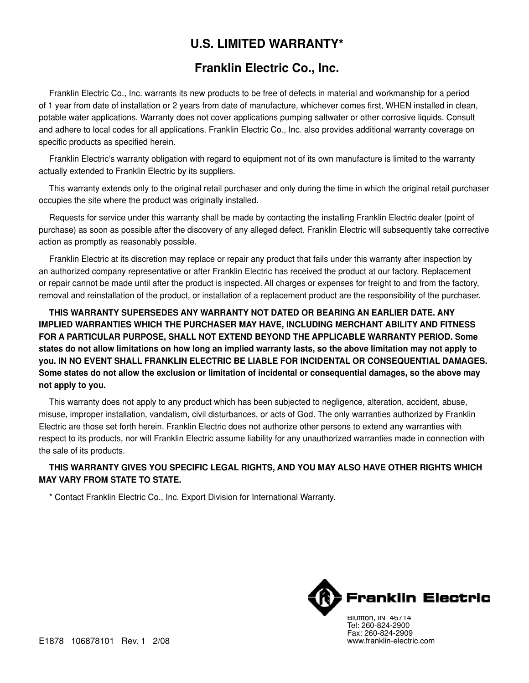# **U.S. LIMITED WARRANTY\***

# **Franklin Electric Co., Inc.**

Franklin Electric Co., Inc. warrants its new products to be free of defects in material and workmanship for a period of 1 year from date of installation or 2 years from date of manufacture, whichever comes first, WHEN installed in clean, potable water applications. Warranty does not cover applications pumping saltwater or other corrosive liquids. Consult and adhere to local codes for all applications. Franklin Electric Co., Inc. also provides additional warranty coverage on specific products as specified herein.

Franklin Electric's warranty obligation with regard to equipment not of its own manufacture is limited to the warranty actually extended to Franklin Electric by its suppliers.

This warranty extends only to the original retail purchaser and only during the time in which the original retail purchaser occupies the site where the product was originally installed.

Requests for service under this warranty shall be made by contacting the installing Franklin Electric dealer (point of purchase) as soon as possible after the discovery of any alleged defect. Franklin Electric will subsequently take corrective action as promptly as reasonably possible.

Franklin Electric at its discretion may replace or repair any product that fails under this warranty after inspection by an authorized company representative or after Franklin Electric has received the product at our factory. Replacement or repair cannot be made until after the product is inspected. All charges or expenses for freight to and from the factory, removal and reinstallation of the product, or installation of a replacement product are the responsibility of the purchaser.

**THIS WARRANTY SUPERSEDES ANY WARRANTY NOT DATED OR BEARING AN EARLIER DATE. ANY IMPLIED WARRANTIES WHICH THE PURCHASER MAY HAVE, INCLUDING MERCHANT ABILITY AND FITNESS FOR A PARTICULAR PURPOSE, SHALL NOT EXTEND BEYOND THE APPLICABLE WARRANTY PERIOD. Some states do not allow limitations on how long an implied warranty lasts, so the above limitation may not apply to you. IN NO EVENT SHALL Franklin ELECTRIC BE LIABLE FOR INCIDENTAL OR CONSEQUENTIAL DAMAGES. Some states do not allow the exclusion or limitation of incidental or consequential damages, so the above may not apply to you.**

This warranty does not apply to any product which has been subjected to negligence, alteration, accident, abuse, misuse, improper installation, vandalism, civil disturbances, or acts of God. The only warranties authorized by Franklin Electric are those set forth herein. Franklin Electric does not authorize other persons to extend any warranties with respect to its products, nor will Franklin Electric assume liability for any unauthorized warranties made in connection with the sale of its products.

## **THIS WARRANTY GIVES YOU SPECIFIC LEGAL RIGHTS, AND YOU MAY ALSO HAVE OTHER RIGHTS WHICH MAY VARY FROM STATE TO STATE.**

\* Contact Franklin Electric Co., Inc. Export Division for International Warranty.

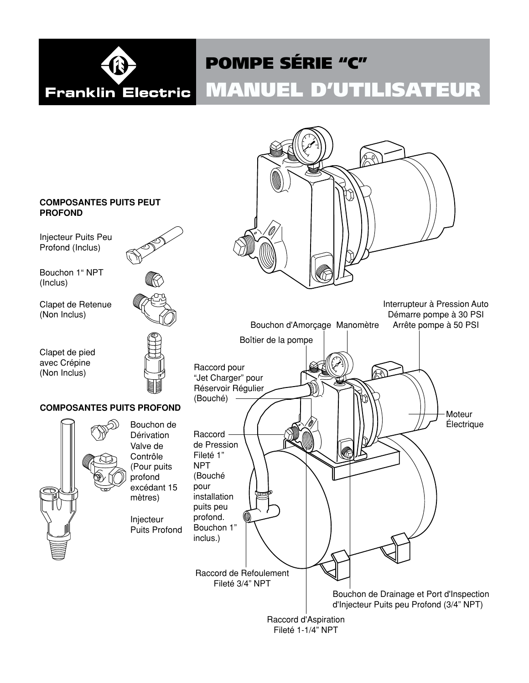

# MANUEL D'UTILISATEUR POMPE SÉRIE "C"

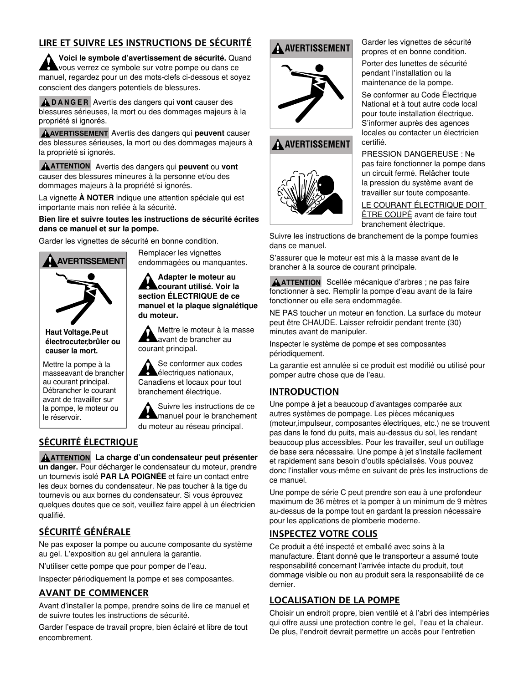## **LIRE ET SUIVRE LES INSTRUCTIONS DE SÉCURITÉ**

**Voici le symbole d'avertissement de sécurité.** Quand vous verrez ce symbole sur votre pompe ou dans ce manuel, regardez pour un des mots-clefs ci-dessous et soyez conscient des dangers potentiels de blessures.

**D A N G E R** Avertis des dangers qui **vont** causer des blessures sérieuses, la mort ou des dommages majeurs à la propriété si ignorés.

**AVERTISSEMENT** Avertis des dangers qui **peuvent** causer des blessures sérieuses, la mort ou des dommages majeurs à la propriété si ignorés.

**ATTENTION** Avertis des dangers qui **peuvent** ou **vont** causer des blessures mineures à la personne et/ou des dommages majeurs à la propriété si ignorés.

La vignette **À NOTER** indique une attention spéciale qui est importante mais non reliée à la sécurité.

#### **Bien lire et suivre toutes les instructions de sécurité écrites dans ce manuel et sur la pompe.**

Garder les vignettes de sécurité en bonne condition.



**Haut Voltage.Pe ut électrocuter ,brûler ou causer la mort.**

Mettre la pompe à la masseavant de brancher au courant principal. Débrancher le courant avant de travailler sur la pompe, le moteur ou le réservoir.

# endommagées ou manquantes. **Adapter le moteur au**

Remplacer les vignettes

**courant utilisé. Voir la section ÉLECTRIQUE de ce manuel et la plaque signalétique du moteur.**

Mettre le moteur à la masse avant de brancher au courant principal.

Se conformer aux codes électriques nationaux, Canadiens et locaux pour tout branchement électrique.

Suivre les instructions de ce manuel pour le branchement du moteur au réseau principal.

## **SÉCURITÉ ÉLECTRIQUE**

**ATTENTION La charge d'un condensateur peut présenter un danger.** Pour décharger le condensateur du moteur, prendre un tournevis isolé **PAR LA POIGNÉE** et faire un contact entre les deux bornes du condensateur. Ne pas toucher à la tige du tournevis ou aux bornes du condensateur. Si vous éprouvez quelques doutes que ce soit, veuillez faire appel à un électricien qualifié.

## **SÉCURITÉ GÉNÉRALE**

Ne pas exposer la pompe ou aucune composante du système au gel. L'exposition au gel annulera la garantie.

N'utiliser cette pompe que pour pomper de l'eau.

Inspecter périodiquement la pompe et ses composantes.

## **AVANT DE COMMENCER**

Avant d'installer la pompe, prendre soins de lire ce manuel et de suivre toutes les instructions de sécurité.

Garder l'espace de travail propre, bien éclairé et libre de tout encombrement.

# **A** AVERTISSEMENT



## **AVERTISSEMENT**



#### Garder les vignettes de sécurité propres et en bonne condition.

Porter des lunettes de sécurité pendant l'installation ou la maintenance de la pompe.

Se conformer au Code Électrique National et à tout autre code local pour toute installation électrique. S'informer auprès des agences locales ou contacter un électricien certifié.

PRESSION DANGEREUSE : Ne pas faire fonctionner la pompe dans un circuit fermé. Relâcher toute la pression du système avant de travailler sur toute composante.

LE COURANT éLECTRIQUE DOIT **ETRE COUPÉ** avant de faire tout branchement électrique.

Suivre les instructions de branchement de la pompe fournies dans ce manuel.

S'assurer que le moteur est mis à la masse avant de le brancher à la source de courant principale.

**ATTENTION** Scellée mécanique d'arbres ; ne pas faire fonctionner à sec. Remplir la pompe d'eau avant de la faire fonctionner ou elle sera endommagée.

NE PAS toucher un moteur en fonction. La surface du moteur peut être CHAUDE. Laisser refroidir pendant trente (30) minutes avant de manipuler.

Inspecter le système de pompe et ses composantes périodiquement.

La garantie est annulée si ce produit est modifié ou utilisé pour pomper autre chose que de l'eau.

## **INTRODUCTION**

Une pompe à jet a beaucoup d'avantages comparée aux autres systèmes de pompage. Les pièces mécaniques (moteur,impulseur, composantes électriques, etc.) ne se trouvent pas dans le fond du puits, mais au-dessus du sol, les rendant beaucoup plus accessibles. Pour les travailler, seul un outillage de base sera nécessaire. Une pompe à jet s'installe facilement et rapidement sans besoin d'outils spécialisés. vous pouvez donc l'installer vous-même en suivant de près les instructions de ce manuel.

Une pompe de série C peut prendre son eau à une profondeur maximum de 36 mètres et la pomper à un minimum de 9 mètres au-dessus de la pompe tout en gardant la pression nécessaire pour les applications de plomberie moderne.

## **INSPECTEZ VOTRE COLIS**

Ce produit a été inspecté et emballé avec soins à la manufacture. étant donné que le transporteur a assumé toute responsabilité concernant l'arrivée intacte du produit, tout dommage visible ou non au produit sera la responsabilité de ce dernier.

## **LOCALISATION DE LA POMPE**

Choisir un endroit propre, bien ventilé et à l'abri des intempéries qui offre aussi une protection contre le gel, l'eau et la chaleur. De plus, l'endroit devrait permettre un accès pour l'entretien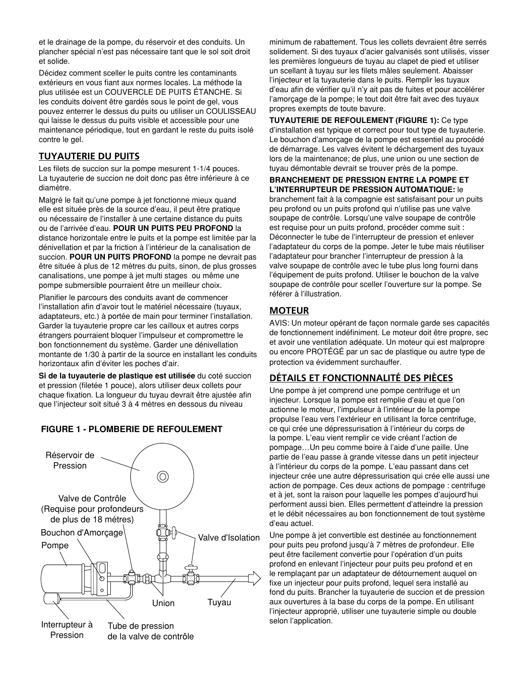et le drainage de la pompe, du réservoir et des conduits. Un plancher spécial n'est pas nécessaire tant que le sol soit droit et solide.

Décidez comment sceller le puits contre les contaminants extérieurs en vous fiant aux normes locales. La méthode la plus utilisée est un COUVERCLE DE PUITS ÉTANCHE. Si les conduits doivent être gardés sous le point de gel, vous pouvez enterrer le dessus du puits ou utiliser un COULISSEAU qui laisse le dessus du puits visible et accessible pour une maintenance périodique, tout en gardant le reste du puits isolé contre le gel.

## **TUYAUTERIE DU PUITS**

Les filets de succion sur la pompe mesurent 1-1/4 pouces. La tuyauterie de succion ne doit donc pas être inférieure à ce diamètre.

Malgré le fait qu'une pompe à jet fonctionne mieux quand elle est située près de la source d'eau, il peut être pratique ou nécessaire de l'installer à une certaine distance du puits ou de l'arrivée d'eau. **POUR UN PUITS PEU PROFOND** la distance horizontale entre le puits et la pompe est limitée par la dénivellation et par la friction à l'intérieur de la canalisation de succion. **POUR UN PUITS PROFOND** la pompe ne devrait pas être située à plus de 12 mètres du puits, sinon, de plus grosses canalisations, une pompe à jet multi stages ou même une pompe submersible pourraient être un meilleur choix.

Planifier le parcours des conduits avant de commencer l'installation afin d'avoir tout le matériel nécessaire (tuyaux, adaptateurs, etc.) à portée de main pour terminer l'installation. Garder la tuyauterie propre car les cailloux et autres corps étrangers pourraient bloquer l'impulseur et compromettre le bon fonctionnement du système. Garder une dénivellation montante de 1/30 à partir de la source en installant les conduits horizontaux afin d'éviter les poches d'air.

**Si de la tuyauterie de plastique est utilisée** du coté succion et pression (filetée 1 pouce), alors utiliser deux collets pour chaque fixation. La longueur du tuyau devrait être ajustée afin que l'injecteur soit situé 3 à 4 mètres en dessous du niveau

## **FIGURE 1 - PLOMBERIE DE REFOULEMENT**



minimum de rabattement. Tous les collets devraient être serrés solidement. Si des tuyaux d'acier galvanisés sont utilisés, visser les premières longueurs de tuyau au clapet de pied et utiliser un scellant à tuyau sur les filets mâles seulement. Abaisser l'injecteur et la tuyauterie dans le puits. Remplir les tuyaux d'eau afin de vérifier qu'il n'y ait pas de fuites et pour accélérer l'amorçage de la pompe; le tout doit être fait avec des tuyaux propres exempts de toute bavure.

**TUYAUTERIE DE REFOULEMENT (Figure 1):** Ce type d'installation est typique et correct pour tout type de tuyauterie. Le bouchon d'amorçage de la pompe est essentiel au procédé de démarrage. Les valves évitent le déchargement des tuyaux lors de la maintenance; de plus, une union ou une section de tuyau démontable devrait se trouver près de la pompe.

#### **BRANCHEMENT DE PRESSION ENTRE LA POMPE ET L'INTERRUPTEUR DE PRESSION AUTOMATIQUE:** le

branchement fait à la compagnie est satisfaisant pour un puits peu profond ou un puits profond qui n'utilise pas une valve soupape de contrôle. Lorsqu'une valve soupape de contrôle est requise pour un puits profond, procéder comme suit : Déconnecter le tube de l'interrupteur de pression et enlever l'adaptateur du corps de la pompe. Jeter le tube mais réutiliser l'adaptateur pour brancher l'interrupteur de pression à la valve soupape de contrôle avec le tube plus long fourni dans l'équipement de puits profond. Utiliser le bouchon de la valve soupape de contrôle pour sceller l'ouverture sur la pompe. Se référer à l'illustration.

## **MOTEUR**

AVIS: Un moteur opérant de façon normale garde ses capacités de fonctionnement indéfiniment. Le moteur doit être propre, sec et avoir une ventilation adéquate. Un moteur qui est malpropre ou encore PROTÉGÉ par un sac de plastique ou autre type de protection va évidemment surchauffer.

## **DÉTAILS ET FONCTIONNALITÉ DES PIÈCES**

Une pompe à jet comprend une pompe centrifuge et un injecteur. Lorsque la pompe est remplie d'eau et que l'on actionne le moteur, l'impulseur à l'intérieur de la pompe propulse l'eau vers l'extérieur en utilisant la force centrifuge, ce qui crée une dépressurisation à l'intérieur du corps de la pompe. L'eau vient remplir ce vide créant l'action de pompage…Un peu comme boire à l'aide d'une paille. Une partie de l'eau passe à grande vitesse dans un petit injecteur à l'intérieur du corps de la pompe. L'eau passant dans cet injecteur crée une autre dépressurisation qui crée elle aussi une action de pompage. Ces deux actions de pompage : centrifuge et à jet, sont la raison pour laquelle les pompes d'aujourd'hui performent aussi bien. Elles permettent d'atteindre la pression et le débit nécessaires au bon fonctionnement de tout système d'eau actuel.

Une pompe à jet convertible est destinée au fonctionnement pour puits peu profond jusqu'à 7 mètres de profondeur. Elle peut être facilement convertie pour l'opération d'un puits profond en enlevant l'injecteur pour puits peu profond et en le remplaçant par un adaptateur de détournement auquel on fixe un injecteur pour puits profond, lequel sera installé au fond du puits. Brancher la tuyauterie de succion et de pression aux ouvertures à la base du corps de la pompe. En utilisant l'injecteur approprié, utiliser une tuyauterie simple ou double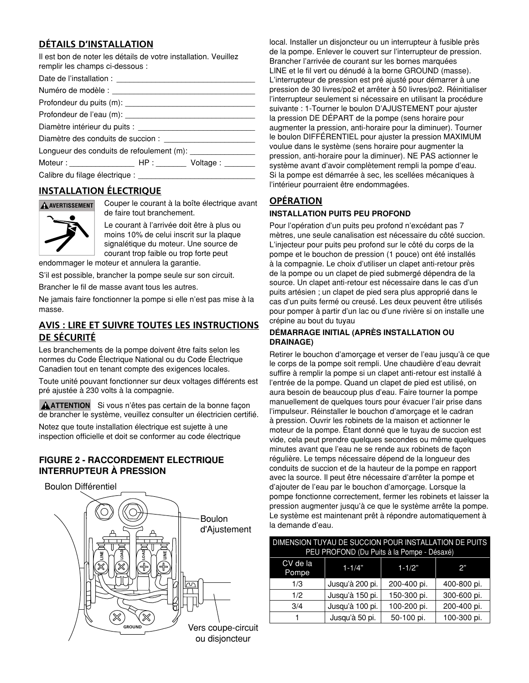## **DÉTAILS D'INSTALLATION**

| Il est bon de noter les détails de votre installation. Veuillez<br>remplir les champs ci-dessous : |  |
|----------------------------------------------------------------------------------------------------|--|
|                                                                                                    |  |
|                                                                                                    |  |
|                                                                                                    |  |
|                                                                                                    |  |
|                                                                                                    |  |
|                                                                                                    |  |
| Longueur des conduits de refoulement (m): __________________                                       |  |
|                                                                                                    |  |
|                                                                                                    |  |

## **INSTALLATION ÉLECTRIQUE**



Couper le courant à la boîte électrique avant de faire tout branchement.

Le courant à l'arrivée doit être à plus ou moins 10% de celui inscrit sur la plaque signalétique du moteur. Une source de courant trop faible ou trop forte peut

endommager le moteur et annulera la garantie.

S'il est possible, brancher la pompe seule sur son circuit.

Brancher le fil de masse avant tous les autres.

Ne jamais faire fonctionner la pompe si elle n'est pas mise à la masse.

## **AVIS : LIRE ET SUIVRE TOUTES LES INSTRUCTIONS DE SÉCURITÉ**

Les branchements de la pompe doivent être faits selon les normes du Code électrique National ou du Code électrique Canadien tout en tenant compte des exigences locales.

Toute unité pouvant fonctionner sur deux voltages différents est pré ajustée à 230 volts à la compagnie.

**ATTENTION** Si vous n'êtes pas certain de la bonne façon de brancher le système, veuillez consulter un électricien certifié.

Notez que toute installation électrique est sujette à une inspection officielle et doit se conformer au code électrique

#### **FIGURE 2 - RACCORDEMENT ÈLECTRIQUE INTERRUPTEUR À PRESSION**

Boulon Différentiel Boulon d'Ajustement **LOAD LOAD LINE LINE**  $\boxtimes$ Vers coupe-circuit **GROUND** ou disjoncteur

local. Installer un disjoncteur ou un interrupteur à fusible près de la pompe. Enlever le couvert sur l'interrupteur de pression. Brancher l'arrivée de courant sur les bornes marquées LINE et le fil vert ou dénudé à la borne GROUND (masse). L'interrupteur de pression est pré ajusté pour démarrer à une pression de 30 livres/po2 et arrêter à 50 livres/po2. Réinitialiser l'interrupteur seulement si nécessaire en utilisant la procédure suivante : 1-Tourner le boulon D'AJUSTEMENT pour ajuster la pression DE DéPART de la pompe (sens horaire pour augmenter la pression, anti-horaire pour la diminuer). Tourner le boulon DIFFéRENTIEL pour ajuster la pression MAXIMUM voulue dans le système (sens horaire pour augmenter la pression, anti-horaire pour la diminuer). NE PAS actionner le système avant d'avoir complètement rempli la pompe d'eau. Si la pompe est démarrée à sec, les scellées mécaniques à l'intérieur pourraient être endommagées.

## **OPÉRATION**

#### **INSTALLATION PUITS PEU PROFOND**

Pour l'opération d'un puits peu profond n'excédant pas 7 mètres, une seule canalisation est nécessaire du côté succion. L'injecteur pour puits peu profond sur le côté du corps de la pompe et le bouchon de pression (1 pouce) ont été installés à la compagnie. Le choix d'utiliser un clapet anti-retour près de la pompe ou un clapet de pied submergé dépendra de la source. Un clapet anti-retour est nécessaire dans le cas d'un puits artésien ; un clapet de pied sera plus approprié dans le cas d'un puits fermé ou creusé. Les deux peuvent être utilisés pour pomper à partir d'un lac ou d'une rivière si on installe une crépine au bout du tuyau

#### **DÉMARRAGE INITIAL (APRÈS INSTALLATION OU DRAINAGE)**

Retirer le bouchon d'amorçage et verser de l'eau jusqu'à ce que le corps de la pompe soit rempli. Une chaudière d'eau devrait suffire à remplir la pompe si un clapet anti-retour est installé à l'entrée de la pompe. Quand un clapet de pied est utilisé, on aura besoin de beaucoup plus d'eau. Faire tourner la pompe manuellement de quelques tours pour évacuer l'air prise dans l'impulseur. Réinstaller le bouchon d'amorçage et le cadran à pression. Ouvrir les robinets de la maison et actionner le moteur de la pompe. étant donné que le tuyau de succion est vide, cela peut prendre quelques secondes ou même quelques minutes avant que l'eau ne se rende aux robinets de façon régulière. Le temps nécessaire dépend de la longueur des conduits de succion et de la hauteur de la pompe en rapport avec la source. Il peut être nécessaire d'arrêter la pompe et d'ajouter de l'eau par le bouchon d'amorçage. Lorsque la pompe fonctionne correctement, fermer les robinets et laisser la pression augmenter jusqu'à ce que le système arrête la pompe. Le système est maintenant prêt à répondre automatiquement à la demande d'eau.

| DIMENSION TUYAU DE SUCCION POUR INSTALLATION DE PUITS<br>PEU PROFOND (Du Puits à la Pompe - Désaxé) |                 |             |             |
|-----------------------------------------------------------------------------------------------------|-----------------|-------------|-------------|
| CV de la<br>Pompe                                                                                   | $1 - 1/4"$      | $1 - 1/2"$  | 42°         |
| 1/3                                                                                                 | Jusqu'à 200 pi. | 200-400 pi. | 400-800 pi. |
| 1/2                                                                                                 | Jusqu'à 150 pi. | 150-300 pi. | 300-600 pi. |
| 3/4                                                                                                 | Jusqu'à 100 pi. | 100-200 pi. | 200-400 pi. |
|                                                                                                     | Jusqu'à 50 pi.  | 50-100 pi.  | 100-300 pi. |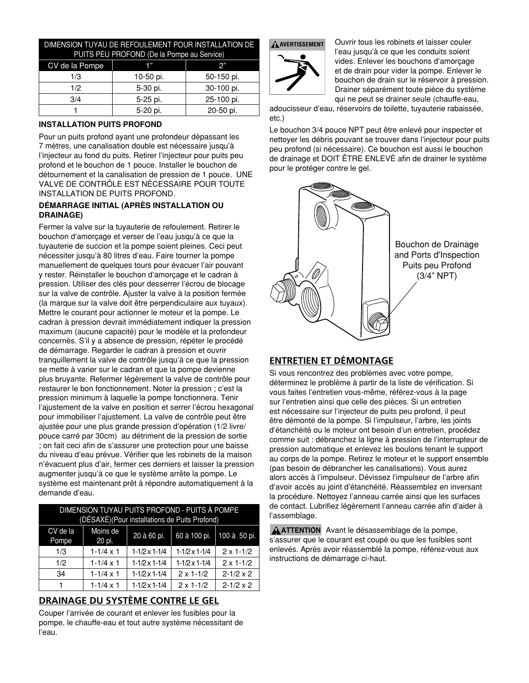#### DIMENSION TUYAU DE REFOULEMENT POUR INSTALLATION DE PUITS PEU PROFOND (De la Po

| FUITS FLU FRUI UND (DE la FUITIDE du SEIVICE) |           |            |
|-----------------------------------------------|-----------|------------|
| CV de la Pompe                                |           | 2"         |
| 1/3                                           | 10-50 pi. | 50-150 pi. |
| 1/2.                                          | 5-30 pi.  | 30-100 pi. |
| 3/4                                           | 5-25 pi.  | 25-100 pi. |
|                                               | 5-20 pi.  | 20-50 pi.  |

## **INSTALLATION PUITS PROFOND**

Pour un puits profond ayant une profondeur dépassant les 7 mètres, une canalisation double est nécessaire jusqu'à l'injecteur au fond du puits. Retirer l'injecteur pour puits peu profond et le bouchon de 1 pouce. Installer le bouchon de détournement et la canalisation de pression de 1 pouce. UNE vALvE DE CONTRÔLE EST NéCESSAIRE POUR TOUTE INSTALLATION DE PUITS PROFOND.

#### **DÉMARRAGE INITIAL (APRÈS INSTALLATION OU DRAINAGE)**

Fermer la valve sur la tuyauterie de refoulement. Retirer le bouchon d'amorçage et verser de l'eau jusqu'à ce que la tuyauterie de succion et la pompe soient pleines. Ceci peut nécessiter jusqu'à 80 litres d'eau. Faire tourner la pompe manuellement de quelques tours pour évacuer l'air pouvant y rester. Réinstaller le bouchon d'amorçage et le cadran à pression. Utiliser des clés pour desserrer l'écrou de blocage sur la valve de contrôle. Ajuster la valve à la position fermée (la marque sur la valve doit être perpendiculaire aux tuyaux). Mettre le courant pour actionner le moteur et la pompe. Le cadran à pression devrait immédiatement indiquer la pression maximum (aucune capacité) pour le modèle et la profondeur concernés. S'il y a absence de pression, répéter le procédé de démarrage. Regarder le cadran à pression et ouvrir tranquillement la valve de contrôle jusqu'à ce que la pression se mette à varier sur le cadran et que la pompe devienne plus bruyante. Refermer légèrement la valve de contrôle pour restaurer le bon fonctionnement. Noter la pression ; c'est la pression minimum à laquelle la pompe fonctionnera. Tenir l'ajustement de la valve en position et serrer l'écrou hexagonal pour immobiliser l'ajustement. La valve de contrôle peut être ajustée pour une plus grande pression d'opération (1/2 livre/ pouce carré par 30cm) au détriment de la pression de sortie ; on fait ceci afin de s'assurer une protection pour une baisse du niveau d'eau prévue. Vérifier que les robinets de la maison n'évacuent plus d'air, fermer ces derniers et laisser la pression augmenter jusqu'à ce que le système arrête la pompe. Le système est maintenant prêt à répondre automatiquement à la demande d'eau.

| DIMENSION TUYAU PUITS PROFOND - PUITS À POMPE<br>(DÉSAXÉ)(Pour installations de Puits Profond) |                    |                          |                          |                    |
|------------------------------------------------------------------------------------------------|--------------------|--------------------------|--------------------------|--------------------|
| CV de la<br>Pompe                                                                              | Moins de<br>20 pi. | 20 à 60 pi.              | 60 à 100 pi.             | 100 à 50 pi.       |
| 1/3                                                                                            | $1 - 1/4 \times 1$ | $1 - 1/2 \times 1 - 1/4$ | $1 - 1/2 \times 1 - 1/4$ | $2 \times 1 - 1/2$ |
| 1/2                                                                                            | $1 - 1/4 \times 1$ | $1 - 1/2 \times 1 - 1/4$ | $1-1/2 \times 1-1/4$     | $2 \times 1 - 1/2$ |
| 34                                                                                             | $1 - 1/4 \times 1$ | $1 - 1/2 \times 1 - 1/4$ | $2 \times 1 - 1/2$       | $2 - 1/2 \times 2$ |
|                                                                                                | $1 - 1/4 \times 1$ | $1-1/2 \times 1-1/4$     | $2 \times 1 - 1/2$       | $2 - 1/2 \times 2$ |

## **DRAINAGE DU SYSTÈME CONTRE LE GEL**

Couper l'arrivée de courant et enlever les fusibles pour la pompe, le chauffe-eau et tout autre système nécessitant de l'eau.





Ouvrir tous les robinets et laisser couler l'eau jusqu'à ce que les conduits soient vides. Enlever les bouchons d'amorçage et de drain pour vider la pompe. Enlever le bouchon de drain sur le réservoir à pression. Drainer séparément toute pièce du système qui ne peut se drainer seule (chauffe-eau,

adoucisseur d'eau, réservoirs de toilette, tuyauterie rabaissée, etc.)

Le bouchon 3/4 pouce NPT peut être enlevé pour inspecter et nettoyer les débris pouvant se trouver dans l'injecteur pour puits peu profond (si nécessaire). Ce bouchon est aussi le bouchon de drainage et DOIT ÊTRE ENLEVÉ afin de drainer le système pour le protéger contre le gel.



## **ENTRETIEN ET DÉMONTAGE**

Si vous rencontrez des problèmes avec votre pompe, déterminez le problème à partir de la liste de vérification. Si vous faites l'entretien vous-même, référez-vous à la page sur l'entretien ainsi que celle des pièces. Si un entretien est nécessaire sur l'injecteur de puits peu profond, il peut être démonté de la pompe. Si l'impulseur, l'arbre, les joints d'étanchéité ou le moteur ont besoin d'un entretien, procédez comme suit : débranchez la ligne à pression de l'interrupteur de pression automatique et enlevez les boulons tenant le support au corps de la pompe. Retirez le moteur et le support ensemble (pas besoin de débrancher les canalisations). vous aurez alors accès à l'impulseur. Dévissez l'impulseur de l'arbre afin d'avoir accès au joint d'étanchéité. Réassemblez en inversant la procédure. Nettoyez l'anneau carrée ainsi que les surfaces de contact. Lubrifiez légèrement l'anneau carrée afin d'aider à l'assemblage.

**ATTENTION** Avant le désassemblage de la pompe, s'assurer que le courant est coupé ou que les fusibles sont enlevés. Après avoir réassemblé la pompe, référez-vous aux instructions de démarrage ci-haut.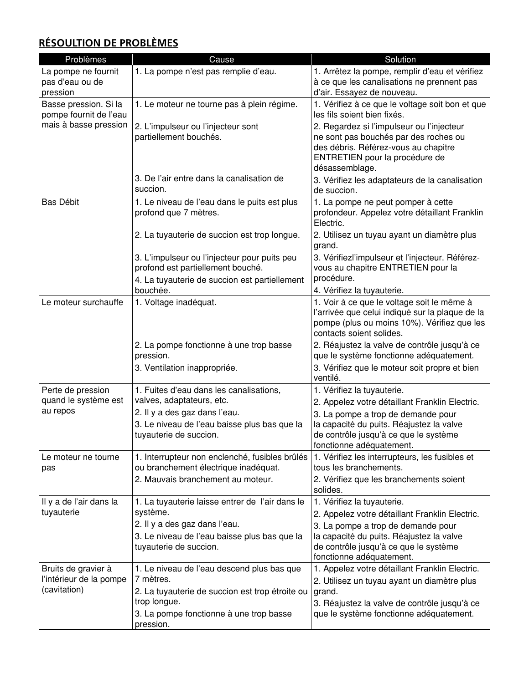# **RÉSOULTION DE PROBLÈMES**

| Problèmes                                       | Cause                                                                             | Solution                                                                                                                                                     |
|-------------------------------------------------|-----------------------------------------------------------------------------------|--------------------------------------------------------------------------------------------------------------------------------------------------------------|
| La pompe ne fournit                             | 1. La pompe n'est pas remplie d'eau.                                              | 1. Arrêtez la pompe, remplir d'eau et vérifiez                                                                                                               |
| pas d'eau ou de                                 |                                                                                   | à ce que les canalisations ne prennent pas                                                                                                                   |
| pression                                        |                                                                                   | d'air. Essayez de nouveau.                                                                                                                                   |
| Basse pression. Si la<br>pompe fournit de l'eau | 1. Le moteur ne tourne pas à plein régime.                                        | 1. Vérifiez à ce que le voltage soit bon et que<br>les fils soient bien fixés.                                                                               |
| mais à basse pression                           | 2. L'impulseur ou l'injecteur sont<br>partiellement bouchés.                      | 2. Regardez si l'impulseur ou l'injecteur<br>ne sont pas bouchés par des roches ou<br>des débris. Référez-vous au chapitre<br>ENTRETIEN pour la procédure de |
|                                                 |                                                                                   | désassemblage.                                                                                                                                               |
|                                                 | 3. De l'air entre dans la canalisation de<br>succion.                             | 3. Vérifiez les adaptateurs de la canalisation<br>de succion.                                                                                                |
| Bas Débit                                       | 1. Le niveau de l'eau dans le puits est plus<br>profond que 7 mètres.             | 1. La pompe ne peut pomper à cette<br>profondeur. Appelez votre détaillant Franklin<br>Electric.                                                             |
|                                                 | 2. La tuyauterie de succion est trop longue.                                      | 2. Utilisez un tuyau ayant un diamètre plus<br>grand.                                                                                                        |
|                                                 | 3. L'impulseur ou l'injecteur pour puits peu<br>profond est partiellement bouché. | 3. Vérifiezl'impulseur et l'injecteur. Référez-<br>vous au chapitre ENTRETIEN pour la                                                                        |
|                                                 | 4. La tuyauterie de succion est partiellement<br>bouchée.                         | procédure.                                                                                                                                                   |
| Le moteur surchauffe                            | 1. Voltage inadéquat.                                                             | 4. Vérifiez la tuyauterie.<br>1. Voir à ce que le voltage soit le même à                                                                                     |
|                                                 |                                                                                   | l'arrivée que celui indiqué sur la plaque de la<br>pompe (plus ou moins 10%). Vérifiez que les<br>contacts soient solides.                                   |
|                                                 | 2. La pompe fonctionne à une trop basse<br>pression.                              | 2. Réajustez la valve de contrôle jusqu'à ce<br>que le système fonctionne adéquatement.                                                                      |
|                                                 | 3. Ventilation inappropriée.                                                      | 3. Vérifiez que le moteur soit propre et bien<br>ventilé.                                                                                                    |
| Perte de pression                               | 1. Fuites d'eau dans les canalisations,                                           | 1. Vérifiez la tuyauterie.                                                                                                                                   |
| quand le système est                            | valves, adaptateurs, etc.                                                         | 2. Appelez votre détaillant Franklin Electric.                                                                                                               |
| au repos                                        | 2. Il y a des gaz dans l'eau.                                                     | 3. La pompe a trop de demande pour                                                                                                                           |
|                                                 | 3. Le niveau de l'eau baisse plus bas que la                                      | la capacité du puits. Réajustez la valve                                                                                                                     |
|                                                 | tuyauterie de succion.                                                            | de contrôle jusqu'à ce que le système<br>fonctionne adéquatement.                                                                                            |
| Le moteur ne tourne                             | 1. Interrupteur non enclenché, fusibles brûlés                                    | 1. Vérifiez les interrupteurs, les fusibles et                                                                                                               |
| pas                                             | ou branchement électrique inadéquat.                                              | tous les branchements.                                                                                                                                       |
|                                                 | 2. Mauvais branchement au moteur.                                                 | 2. Vérifiez que les branchements soient                                                                                                                      |
|                                                 |                                                                                   | solides.                                                                                                                                                     |
| Il y a de l'air dans la                         | 1. La tuyauterie laisse entrer de l'air dans le                                   | 1. Vérifiez la tuyauterie.                                                                                                                                   |
| tuyauterie                                      | système.                                                                          | 2. Appelez votre détaillant Franklin Electric.                                                                                                               |
|                                                 | 2. Il y a des gaz dans l'eau.                                                     | 3. La pompe a trop de demande pour                                                                                                                           |
|                                                 | 3. Le niveau de l'eau baisse plus bas que la<br>tuyauterie de succion.            | la capacité du puits. Réajustez la valve<br>de contrôle jusqu'à ce que le système                                                                            |
|                                                 |                                                                                   | fonctionne adéquatement.                                                                                                                                     |
| Bruits de gravier à                             | 1. Le niveau de l'eau descend plus bas que                                        | 1. Appelez votre détaillant Franklin Electric.                                                                                                               |
| l'intérieur de la pompe                         | 7 mètres.                                                                         | 2. Utilisez un tuyau ayant un diamètre plus                                                                                                                  |
| (cavitation)                                    | 2. La tuyauterie de succion est trop étroite ou                                   | grand.                                                                                                                                                       |
|                                                 | trop longue.                                                                      | 3. Réajustez la valve de contrôle jusqu'à ce                                                                                                                 |
|                                                 | 3. La pompe fonctionne à une trop basse<br>pression.                              | que le système fonctionne adéquatement.                                                                                                                      |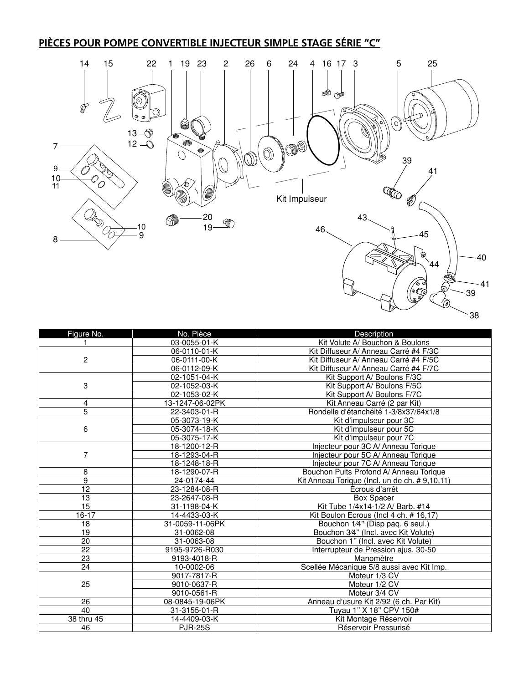# **PIÈCES POUR POMPE CONVERTIBLE INJECTEUR SIMPLE STAGE SÉRIE "C"**



| ×<br>×<br>v.<br>э. |
|--------------------|
|--------------------|

| Figure No.      | No. Pièce       | Description                                    |
|-----------------|-----------------|------------------------------------------------|
|                 | 03-0055-01-K    | Kit Volute A/ Bouchon & Boulons                |
| $\overline{c}$  | 06-0110-01-K    | Kit Diffuseur A/ Anneau Carré #4 F/3C          |
|                 | 06-0111-00-K    | Kit Diffuseur A/ Anneau Carré #4 F/5C          |
|                 | 06-0112-09-K    | Kit Diffuseur A/ Anneau Carré #4 F/7C          |
| 3               | 02-1051-04-K    | Kit Support A/ Boulons F/3C                    |
|                 | 02-1052-03-K    | Kit Support A/ Boulons F/5C                    |
|                 | 02-1053-02-K    | Kit Support A/ Boulons F/7C                    |
| 4               | 13-1247-06-02PK | Kit Anneau Carré (2 par Kit)                   |
| $\overline{5}$  | 22-3403-01-R    | Rondelle d'étanchéité 1-3/8x37/64x1/8          |
| 6               | 05-3073-19-K    | Kit d'impulseur pour 3C                        |
|                 | 05-3074-18-K    | Kit d'impulseur pour 5C                        |
|                 | 05-3075-17-K    | Kit d'impulseur pour 7C                        |
| 7               | 18-1200-12-R    | Injecteur pour 3C A/ Anneau Torique            |
|                 | 18-1293-04-R    | Injecteur pour 5C A/ Anneau Torique            |
|                 | 18-1248-18-R    | Injecteur pour 7C A/ Anneau Torique            |
| 8               | 18-1290-07-R    | Bouchon Puits Profond A/ Anneau Torique        |
| 9               | 24-0174-44      | Kit Anneau Torique (Incl. un de ch. # 9,10,11) |
| $\overline{12}$ | 23-1284-08-R    | Ecrous d'arrêt                                 |
| 13              | 23-2647-08-R    | <b>Box Spacer</b>                              |
| 15              | 31-1198-04-K    | Kit Tube 1/4x14-1/2 A/ Barb. #14               |
| $16 - 17$       | 14-4433-03-K    | Kit Boulon Ecrous (Incl 4 ch. # 16,17)         |
| 18              | 31-0059-11-06PK | Bouchon 1/4" (Disp pag. 6 seul.)               |
| $\overline{19}$ | 31-0062-08      | Bouchon 3/4" (Incl. avec Kit Volute)           |
| $\overline{20}$ | 31-0063-08      | Bouchon 1" (Incl. avec Kit Volute)             |
| $\overline{22}$ | 9195-9726-R030  | Interrupteur de Pression ajus. 30-50           |
| $\overline{23}$ | 9193-4018-R     | Manomètre                                      |
| $\overline{24}$ | 10-0002-06      | Scellée Mécanique 5/8 aussi avec Kit Imp.      |
| 25              | 9017-7817-R     | Moteur 1/3 CV                                  |
|                 | 9010-0637-R     | Moteur 1/2 CV                                  |
|                 | 9010-0561-R     | Moteur 3/4 CV                                  |
| 26              | 08-0845-19-06PK | Anneau d'usure Kit 2/92 (6 ch. Par Kit)        |
| 40              | 31-3155-01-R    | Tuyau 1" X 18" CPV 150#                        |
| 38 thru 45      | 14-4409-03-K    | Kit Montage Réservoir                          |
| 46              | <b>PJR-25S</b>  | Réservoir Pressurisé                           |
|                 |                 |                                                |